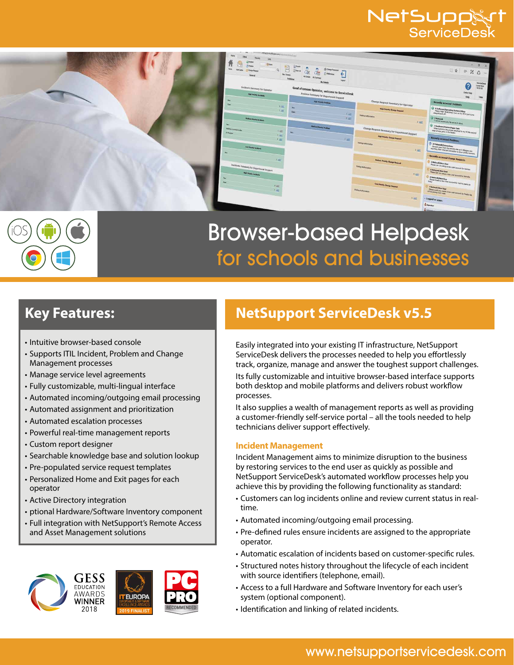## NetSupp&rt ServiceDesl





# Browser-based Helpdesk for schools and businesses

- Intuitive browser-based console
- Supports ITIL Incident, Problem and Change Management processes
- Manage service level agreements
- Fully customizable, multi-lingual interface
- Automated incoming/outgoing email processing
- Automated assignment and prioritization
- Automated escalation processes
- Powerful real-time management reports
- Custom report designer
- Searchable knowledge base and solution lookup
- Pre-populated service request templates
- Personalized Home and Exit pages for each operator
- Active Directory integration
- ptional Hardware/Software Inventory component
- Full integration with NetSupport's Remote Access and Asset Management solutions



# **Key Features: NetSupport ServiceDesk v5.5**

Easily integrated into your existing IT infrastructure, NetSupport ServiceDesk delivers the processes needed to help you effortlessly track, organize, manage and answer the toughest support challenges. Its fully customizable and intuitive browser-based interface supports both desktop and mobile platforms and delivers robust workflow processes.

It also supplies a wealth of management reports as well as providing a customer-friendly self-service portal – all the tools needed to help technicians deliver support effectively.

### **Incident Management**

Incident Management aims to minimize disruption to the business by restoring services to the end user as quickly as possible and NetSupport ServiceDesk's automated workflow processes help you achieve this by providing the following functionality as standard:

- Customers can log incidents online and review current status in realtime.
- Automated incoming/outgoing email processing.
- Pre-defined rules ensure incidents are assigned to the appropriate operator.
- Automatic escalation of incidents based on customer-specific rules.
- Structured notes history throughout the lifecycle of each incident with source identifiers (telephone, email).
- Access to a full Hardware and Software Inventory for each user's system (optional component).
- Identification and linking of related incidents.